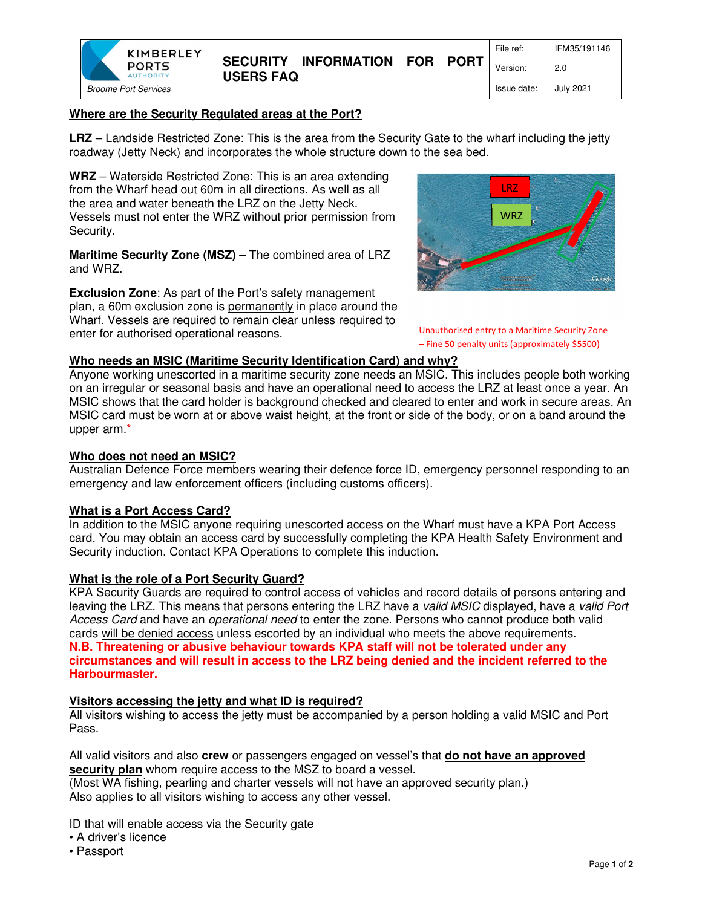

# **Where are the Security Regulated areas at the Port?**

**LRZ** – Landside Restricted Zone: This is the area from the Security Gate to the wharf including the jetty roadway (Jetty Neck) and incorporates the whole structure down to the sea bed.

**WRZ** – Waterside Restricted Zone: This is an area extending from the Wharf head out 60m in all directions. As well as all the area and water beneath the LRZ on the Jetty Neck. Vessels must not enter the WRZ without prior permission from Security.

**Maritime Security Zone (MSZ)** – The combined area of LRZ and WRZ.

**Exclusion Zone**: As part of the Port's safety management plan, a 60m exclusion zone is permanently in place around the Wharf. Vessels are required to remain clear unless required to enter for authorised operational reasons.



Unauthorised entry to a Maritime Security Zone – Fine 50 penalty units (approximately \$5500)

#### **Who needs an MSIC (Maritime Security Identification Card) and why?**

Anyone working unescorted in a maritime security zone needs an MSIC. This includes people both working on an irregular or seasonal basis and have an operational need to access the LRZ at least once a year. An MSIC shows that the card holder is background checked and cleared to enter and work in secure areas. An MSIC card must be worn at or above waist height, at the front or side of the body, or on a band around the upper arm.\*

#### **Who does not need an MSIC?**

Australian Defence Force members wearing their defence force ID, emergency personnel responding to an emergency and law enforcement officers (including customs officers).

### **What is a Port Access Card?**

In addition to the MSIC anyone requiring unescorted access on the Wharf must have a KPA Port Access card. You may obtain an access card by successfully completing the KPA Health Safety Environment and Security induction. Contact KPA Operations to complete this induction.

### **What is the role of a Port Security Guard?**

KPA Security Guards are required to control access of vehicles and record details of persons entering and leaving the LRZ. This means that persons entering the LRZ have a valid MSIC displayed, have a valid Port Access Card and have an *operational need* to enter the zone. Persons who cannot produce both valid cards will be denied access unless escorted by an individual who meets the above requirements. **N.B. Threatening or abusive behaviour towards KPA staff will not be tolerated under any circumstances and will result in access to the LRZ being denied and the incident referred to the Harbourmaster.** 

#### **Visitors accessing the jetty and what ID is required?**

All visitors wishing to access the jetty must be accompanied by a person holding a valid MSIC and Port Pass.

All valid visitors and also **crew** or passengers engaged on vessel's that **do not have an approved security plan** whom require access to the MSZ to board a vessel.

(Most WA fishing, pearling and charter vessels will not have an approved security plan.) Also applies to all visitors wishing to access any other vessel.

ID that will enable access via the Security gate

- A driver's licence
- Passport